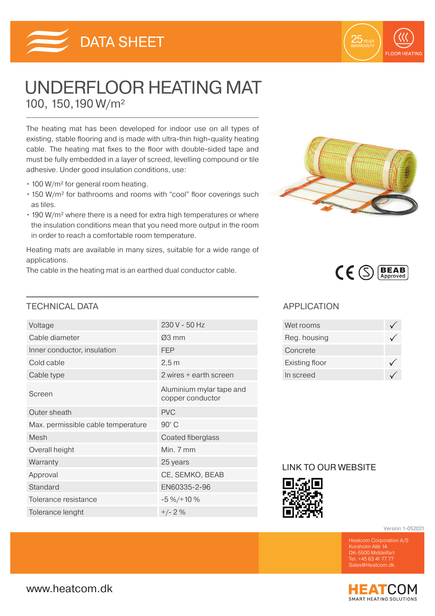



# UNDERFLOOR HEATING MAT 100, 150,190 W/m²

The heating mat has been developed for indoor use on all types of existing, stable flooring and is made with ultra-thin high-quality heating cable. The heating mat fixes to the floor with double-sided tape and must be fully embedded in a layer of screed, levelling compound or tile adhesive. Under good insulation conditions, use:

- 100 W/m<sup>2</sup> for general room heating.
- 150 W/m² for bathrooms and rooms with "cool" floor coverings such as tiles.
- 190 W/m² where there is a need for extra high temperatures or where the insulation conditions mean that you need more output in the room in order to reach a comfortable room temperature.

Heating mats are available in many sizes, suitable for a wide range of applications.

The cable in the heating mat is an earthed dual conductor cable.



#### TECHNICAL DATA APPLICATION

| Voltage                            | 230 V - 50 Hz                                |
|------------------------------------|----------------------------------------------|
| Cable diameter                     | $\varnothing$ 3 mm                           |
| Inner conductor, insulation        | <b>FEP</b>                                   |
| Cold cable                         | 2,5m                                         |
| Cable type                         | 2 wires + earth screen                       |
| Screen                             | Aluminium mylar tape and<br>copper conductor |
| Outer sheath                       | <b>PVC</b>                                   |
| Max. permissible cable temperature | 90°C                                         |
| Mesh                               | Coated fiberglass                            |
| Overall height                     | Min. 7 mm                                    |
| Warranty                           | 25 years                                     |
| Approval                           | CE, SEMKO, BEAB                              |
| Standard                           | EN60335-2-96                                 |
| Tolerance resistance               | $-5\% / + 10\%$                              |
| Tolerance lenght                   | $+/- 2%$                                     |

| Wet rooms      |  |
|----------------|--|
| Reg. housing   |  |
| Concrete       |  |
| Existing floor |  |
| In screed      |  |
|                |  |

### LINK TO OUR WEBSITE



Version 1-052021

Korsholm Allé 14 DK-5500 Middelfart Tel. +45 63 41 77 77 Sales@Heatcom.dk

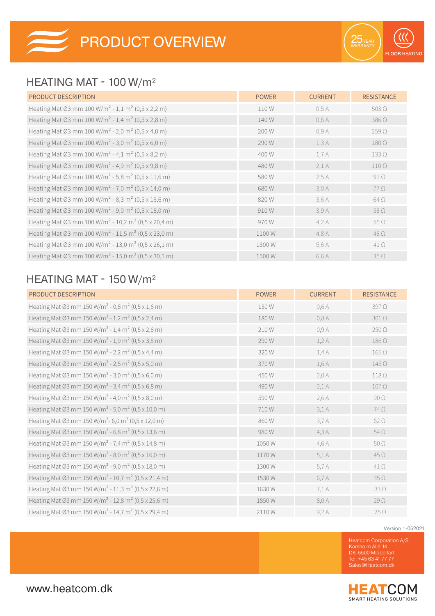## HEATING MAT - 100 W/m²

| <b>PRODUCT DESCRIPTION</b>                                                  | <b>POWER</b> | <b>CURRENT</b> | <b>RESISTANCE</b> |
|-----------------------------------------------------------------------------|--------------|----------------|-------------------|
| Heating Mat Ø3 mm 100 W/m <sup>2</sup> - 1,1 m <sup>2</sup> (0,5 x 2,2 m)   | 110 W        | 0.5A           | $503\Omega$       |
| Heating Mat Ø3 mm 100 W/m <sup>2</sup> - 1,4 m <sup>2</sup> (0,5 x 2,8 m)   | 140 W        | 0,6A           | $386\,\Omega$     |
| Heating Mat Ø3 mm 100 W/m <sup>2</sup> - 2,0 m <sup>2</sup> (0,5 x 4,0 m)   | 200 W        | 0,9A           | $259\Omega$       |
| Heating Mat Ø3 mm 100 W/m <sup>2</sup> - 3,0 m <sup>2</sup> (0,5 x 6,0 m)   | 290 W        | 1,3A           | $180\,\Omega$     |
| Heating Mat Ø3 mm 100 W/m <sup>2</sup> - 4,1 m <sup>2</sup> (0,5 x 8,2 m)   | 400 W        | 1.7A           | $133\Omega$       |
| Heating Mat Ø3 mm 100 W/m <sup>2</sup> - 4,9 m <sup>2</sup> (0,5 x 9,8 m)   | 480W         | 2,1A           | $110\Omega$       |
| Heating Mat Ø3 mm 100 W/m <sup>2</sup> - 5,8 m <sup>2</sup> (0,5 x 11,6 m)  | 580W         | 2.5A           | $91\Omega$        |
| Heating Mat Ø3 mm 100 W/m <sup>2</sup> - 7,0 m <sup>2</sup> (0,5 x 14,0 m)  | 680W         | 3.0A           | $77\Omega$        |
| Heating Mat Ø3 mm 100 W/m <sup>2</sup> - 8,3 m <sup>2</sup> (0,5 x 16,6 m)  | 820W         | 3,6A           | $64\Omega$        |
| Heating Mat Ø3 mm 100 W/m <sup>2</sup> - 9,0 m <sup>2</sup> (0,5 x 18,0 m)  | 910W         | 3,9A           | $58\Omega$        |
| Heating Mat Ø3 mm 100 W/m <sup>2</sup> - 10,2 m <sup>2</sup> (0,5 x 20,4 m) | 970W         | 4,2A           | $55 \Omega$       |
| Heating Mat Ø3 mm 100 W/m <sup>2</sup> - 11,5 m <sup>2</sup> (0,5 x 23,0 m) | 1100W        | 4,8 A          | $48\,\Omega$      |
| Heating Mat Ø3 mm 100 W/m <sup>2</sup> - 13,0 m <sup>2</sup> (0,5 x 26,1 m) | 1300W        | 5,6 A          | $41\Omega$        |
| Heating Mat Ø3 mm 100 W/m <sup>2</sup> - 15,0 m <sup>2</sup> (0,5 x 30,1 m) | 1500W        | 6,6 A          | $35\Omega$        |

## HEATING MAT - 150 W/m²

| PRODUCT DESCRIPTION                                                         | <b>POWER</b> | <b>CURRENT</b> | <b>RESISTANCE</b> |
|-----------------------------------------------------------------------------|--------------|----------------|-------------------|
| Heating Mat Ø3 mm 150 W/m <sup>2</sup> - 0,8 m <sup>2</sup> (0,5 x 1,6 m)   | 130W         | 0,6A           | $397\Omega$       |
| Heating Mat Ø3 mm 150 W/m <sup>2</sup> - 1,2 m <sup>2</sup> (0,5 x 2,4 m)   | 180W         | 0,8A           | $301\Omega$       |
| Heating Mat Ø3 mm 150 W/m <sup>2</sup> - 1,4 m <sup>2</sup> (0,5 x 2,8 m)   | 210W         | 0,9A           | $250 \Omega$      |
| Heating Mat Ø3 mm 150 W/m <sup>2</sup> - 1,9 m <sup>2</sup> (0,5 x 3,8 m)   | 290W         | 1,2A           | $186\,\Omega$     |
| Heating Mat Ø3 mm 150 W/m <sup>2</sup> - 2,2 m <sup>2</sup> (0,5 x 4,4 m)   | 320W         | 1,4A           | $165 \Omega$      |
| Heating Mat Ø3 mm 150 W/m <sup>2</sup> - 2,5 m <sup>2</sup> (0,5 x 5,0 m)   | 370W         | 1,6A           | $145\,\Omega$     |
| Heating Mat Ø3 mm 150 W/m <sup>2</sup> - 3,0 m <sup>2</sup> (0,5 x 6,0 m)   | 450W         | 2,0 A          | $118\Omega$       |
| Heating Mat Ø3 mm 150 W/m <sup>2</sup> - 3,4 m <sup>2</sup> (0,5 x 6,8 m)   | 490W         | 2,1A           | $107\,\Omega$     |
| Heating Mat Ø3 mm 150 W/m <sup>2</sup> - 4,0 m <sup>2</sup> (0,5 x 8,0 m)   | 590W         | 2,6 A          | $90\ \Omega$      |
| Heating Mat Ø3 mm 150 W/m <sup>2</sup> - 5,0 m <sup>2</sup> (0,5 x 10,0 m)  | 710W         | 3,1A           | $74\,\Omega$      |
| Heating Mat Ø3 mm 150 W/m <sup>2</sup> -6,0 m <sup>2</sup> (0,5 x 12,0 m)   | 860W         | 3,7A           | $62 \Omega$       |
| Heating Mat Ø3 mm 150 W/m <sup>2</sup> - 6,8 m <sup>2</sup> (0,5 x 13,6 m)  | 980W         | 4,3A           | $54\Omega$        |
| Heating Mat Ø3 mm 150 W/m <sup>2</sup> - 7,4 m <sup>2</sup> (0,5 x 14,8 m)  | 1050W        | 4,6A           | $50\Omega$        |
| Heating Mat Ø3 mm 150 W/m <sup>2</sup> - 8,0 m <sup>2</sup> (0,5 x 16,0 m)  | 1170W        | 5,1A           | 450               |
| Heating Mat Ø3 mm 150 W/m <sup>2</sup> - 9,0 m <sup>2</sup> (0,5 x 18,0 m)  | 1300W        | 5,7 A          | $41\Omega$        |
| Heating Mat Ø3 mm 150 W/m <sup>2</sup> - 10,7 m <sup>2</sup> (0,5 x 21,4 m) | 1530W        | 6,7 A          | $35\,\Omega$      |
| Heating Mat Ø3 mm 150 W/m <sup>2</sup> - 11,3 m <sup>2</sup> (0,5 x 22,6 m) | 1630W        | 7,1 A          | $33\Omega$        |
| Heating Mat Ø3 mm 150 W/m <sup>2</sup> - 12,8 m <sup>2</sup> (0,5 x 25,6 m) | 1850W        | 8,0 A          | $29\Omega$        |
| Heating Mat Ø3 mm 150 W/m <sup>2</sup> - 14,7 m <sup>2</sup> (0,5 x 29,4 m) | 2110W        | 9,2A           | $25 \Omega$       |

Version 1-052021

Heatcom Corporation A/S Korsholm Allé 14 DK-5500 Middelfart Tel. +45 63 41 77 77 Sales@Heatcom.dk